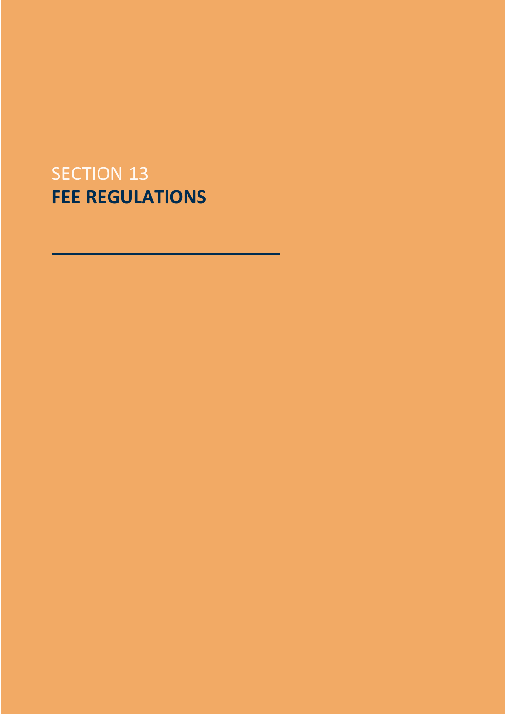# SECTION 13 **FEE REGULATIONS**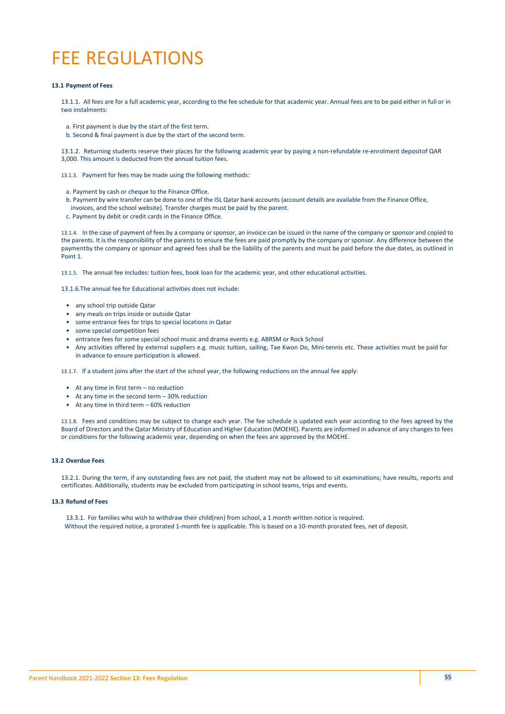# FEE REGULATIONS

### **13.1 Payment of Fees**

13.1.1. All fees are for a full academic year, according to the fee schedule for that academic year. Annual fees are to be paid either in full or in two instalments:

- a. First payment is due by the start of the first term.
- b. Second & final payment is due by the start of the second term.

13.1.2. Returning students reserve their places for the following academic year by paying a non-refundable re-enrolment depositof QAR 3,000. This amount is deducted from the annual tuition fees.

13.1.3. Payment for fees may be made using the following methods:

- a. Payment by cash or cheque to the Finance Office.
- b. Payment by wire transfer can be done to one of the ISL Qatar bank accounts (account details are available from the Finance Office,
- invoices, and the school website). Transfer charges must be paid by the parent.
- c. Payment by debit or credit cards in the Finance Office.

13.1.4. In the case of payment of fees by a company or sponsor, an invoice can be issued in the name of the company or sponsor and copied to the parents. It is the responsibility of the parents to ensure the fees are paid promptly by the company or sponsor. Any difference between the paymentby the company or sponsor and agreed fees shall be the liability of the parents and must be paid before the due dates, as outlined in Point 1.

13.1.5. The annual fee includes: tuition fees, book loan for the academic year, and other educational activities.

13.1.6.The annual fee for Educational activities does not include:

- any school trip outside Qatar
- any meals on trips inside or outside Qatar
- some entrance fees for trips to special locations in Qatar
- some special competition fees
- entrance fees for some special school music and drama events e.g. ABRSM or Rock School
- Any activities offered by external suppliers e.g. music tuition, sailing, Tae Kwon Do, Mini-tennis etc. These activities must be paid for in advance to ensure participation is allowed.

13.1.7. If a student joins after the start of the school year, the following reductions on the annual fee apply:

- At any time in first term no reduction
- At any time in the second term 30% reduction
- At any time in third term 60% reduction

13.1.8. Fees and conditions may be subject to change each year. The fee schedule is updated each year according to the fees agreed by the Board of Directors and the Qatar Ministry of Education and Higher Education (MOEHE). Parents are informed in advance of any changes to fees or conditions for the following academic year, depending on when the fees are approved by the MOEHE.

## **13.2 Overdue Fees**

13.2.1. During the term, if any outstanding fees are not paid, the student may not be allowed to sit examinations; have results, reports and certificates. Additionally, students may be excluded from participating in school teams, trips and events.

#### **13.3 Refund of Fees**

13.3.1. For families who wish to withdraw their child(ren) from school, a 1 month written notice is required.

Without the required notice, a prorated 1-month fee is applicable. This is based on a 10-month prorated fees, net of deposit.